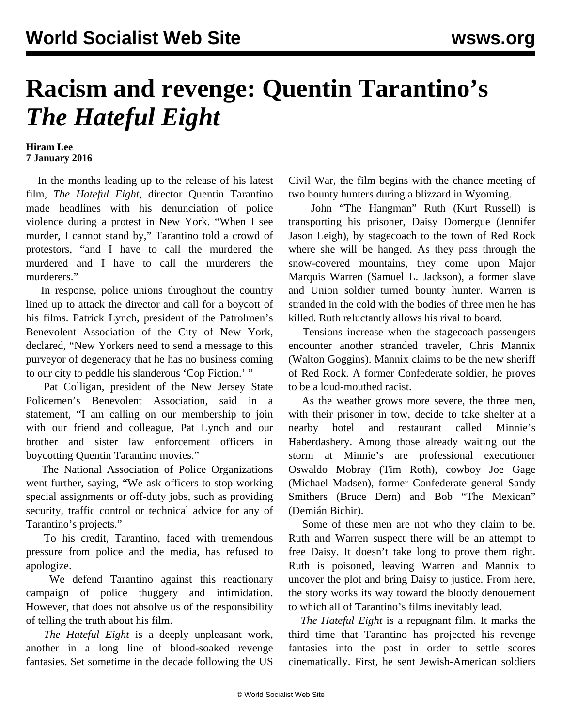## **Racism and revenge: Quentin Tarantino's** *The Hateful Eight*

## **Hiram Lee 7 January 2016**

 In the months leading up to the release of his latest film, *The Hateful Eight*, director Quentin Tarantino made headlines with his denunciation of police violence during a protest in New York. "When I see murder, I cannot stand by," Tarantino told a crowd of protestors, "and I have to call the murdered the murdered and I have to call the murderers the murderers."

 In response, police unions throughout the country lined up to attack the director and call for a boycott of his films. Patrick Lynch, president of the Patrolmen's Benevolent Association of the City of New York, declared, "New Yorkers need to send a message to this purveyor of degeneracy that he has no business coming to our city to peddle his slanderous 'Cop Fiction.' "

 Pat Colligan, president of the New Jersey State Policemen's Benevolent Association, said in a statement, "I am calling on our membership to join with our friend and colleague, Pat Lynch and our brother and sister law enforcement officers in boycotting Quentin Tarantino movies."

 The National Association of Police Organizations went further, saying, "We ask officers to stop working special assignments or off-duty jobs, such as providing security, traffic control or technical advice for any of Tarantino's projects."

 To his credit, Tarantino, faced with tremendous pressure from police and the media, has refused to apologize.

 We defend Tarantino against this reactionary campaign of police thuggery and intimidation. However, that does not absolve us of the responsibility of telling the truth about his film.

 *The Hateful Eight* is a deeply unpleasant work, another in a long line of blood-soaked revenge fantasies. Set sometime in the decade following the US

Civil War, the film begins with the chance meeting of two bounty hunters during a blizzard in Wyoming.

 John "The Hangman" Ruth (Kurt Russell) is transporting his prisoner, Daisy Domergue (Jennifer Jason Leigh), by stagecoach to the town of Red Rock where she will be hanged. As they pass through the snow-covered mountains, they come upon Major Marquis Warren (Samuel L. Jackson), a former slave and Union soldier turned bounty hunter. Warren is stranded in the cold with the bodies of three men he has killed. Ruth reluctantly allows his rival to board.

 Tensions increase when the stagecoach passengers encounter another stranded traveler, Chris Mannix (Walton Goggins). Mannix claims to be the new sheriff of Red Rock. A former Confederate soldier, he proves to be a loud-mouthed racist.

 As the weather grows more severe, the three men, with their prisoner in tow, decide to take shelter at a nearby hotel and restaurant called Minnie's Haberdashery. Among those already waiting out the storm at Minnie's are professional executioner Oswaldo Mobray (Tim Roth), cowboy Joe Gage (Michael Madsen), former Confederate general Sandy Smithers (Bruce Dern) and Bob "The Mexican" (Demián Bichir).

 Some of these men are not who they claim to be. Ruth and Warren suspect there will be an attempt to free Daisy. It doesn't take long to prove them right. Ruth is poisoned, leaving Warren and Mannix to uncover the plot and bring Daisy to justice. From here, the story works its way toward the bloody denouement to which all of Tarantino's films inevitably lead.

 *The Hateful Eight* is a repugnant film. It marks the third time that Tarantino has projected his revenge fantasies into the past in order to settle scores cinematically. First, he sent Jewish-American soldiers